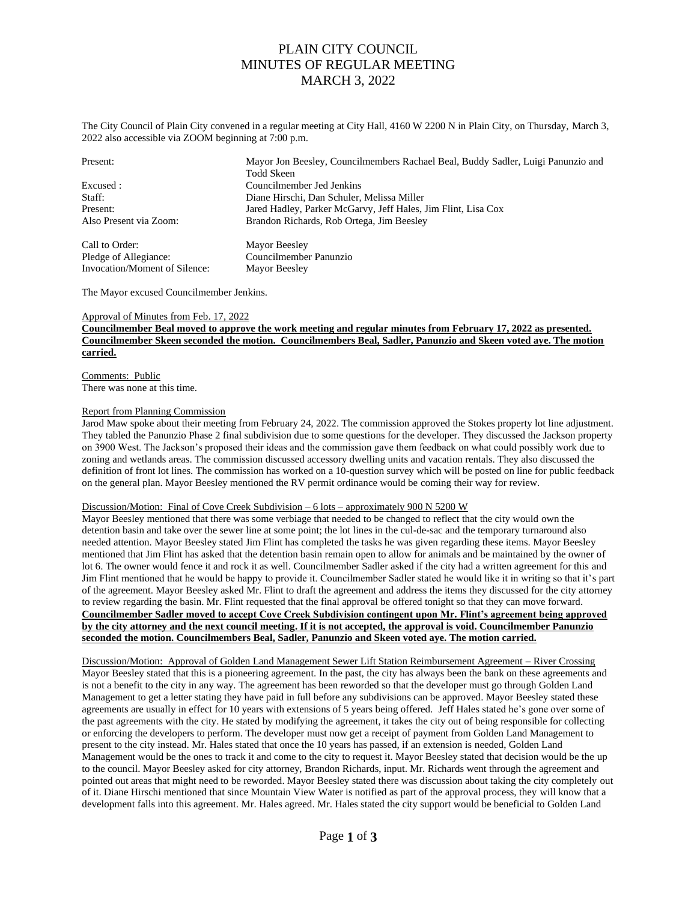The City Council of Plain City convened in a regular meeting at City Hall, 4160 W 2200 N in Plain City, on Thursday, March 3, 2022 also accessible via ZOOM beginning at 7:00 p.m.

| Present:                      | Mayor Jon Beesley, Councilmembers Rachael Beal, Buddy Sadler, Luigi Panunzio and<br>Todd Skeen |  |  |
|-------------------------------|------------------------------------------------------------------------------------------------|--|--|
| Excused:                      | Councilmember Jed Jenkins                                                                      |  |  |
| Staff:                        | Diane Hirschi, Dan Schuler, Melissa Miller                                                     |  |  |
| Present:                      | Jared Hadley, Parker McGarvy, Jeff Hales, Jim Flint, Lisa Cox                                  |  |  |
| Also Present via Zoom:        | Brandon Richards, Rob Ortega, Jim Beesley                                                      |  |  |
| Call to Order:                | Mayor Beesley                                                                                  |  |  |
| Pledge of Allegiance:         | Councilmember Panunzio                                                                         |  |  |
| Invocation/Moment of Silence: | Mayor Beesley                                                                                  |  |  |

The Mayor excused Councilmember Jenkins.

#### Approval of Minutes from Feb. 17, 2022

**Councilmember Beal moved to approve the work meeting and regular minutes from February 17, 2022 as presented. Councilmember Skeen seconded the motion. Councilmembers Beal, Sadler, Panunzio and Skeen voted aye. The motion carried.**

Comments: Public There was none at this time.

#### Report from Planning Commission

Jarod Maw spoke about their meeting from February 24, 2022. The commission approved the Stokes property lot line adjustment. They tabled the Panunzio Phase 2 final subdivision due to some questions for the developer. They discussed the Jackson property on 3900 West. The Jackson's proposed their ideas and the commission gave them feedback on what could possibly work due to zoning and wetlands areas. The commission discussed accessory dwelling units and vacation rentals. They also discussed the definition of front lot lines. The commission has worked on a 10-question survey which will be posted on line for public feedback on the general plan. Mayor Beesley mentioned the RV permit ordinance would be coming their way for review.

#### Discussion/Motion: Final of Cove Creek Subdivision – 6 lots – approximately 900 N 5200 W

Mayor Beesley mentioned that there was some verbiage that needed to be changed to reflect that the city would own the detention basin and take over the sewer line at some point; the lot lines in the cul-de-sac and the temporary turnaround also needed attention. Mayor Beesley stated Jim Flint has completed the tasks he was given regarding these items. Mayor Beesley mentioned that Jim Flint has asked that the detention basin remain open to allow for animals and be maintained by the owner of lot 6. The owner would fence it and rock it as well. Councilmember Sadler asked if the city had a written agreement for this and Jim Flint mentioned that he would be happy to provide it. Councilmember Sadler stated he would like it in writing so that it's part of the agreement. Mayor Beesley asked Mr. Flint to draft the agreement and address the items they discussed for the city attorney to review regarding the basin. Mr. Flint requested that the final approval be offered tonight so that they can move forward. **Councilmember Sadler moved to accept Cove Creek Subdivision contingent upon Mr. Flint's agreement being approved by the city attorney and the next council meeting. If it is not accepted, the approval is void. Councilmember Panunzio seconded the motion. Councilmembers Beal, Sadler, Panunzio and Skeen voted aye. The motion carried.**

Discussion/Motion: Approval of Golden Land Management Sewer Lift Station Reimbursement Agreement – River Crossing Mayor Beesley stated that this is a pioneering agreement. In the past, the city has always been the bank on these agreements and is not a benefit to the city in any way. The agreement has been reworded so that the developer must go through Golden Land Management to get a letter stating they have paid in full before any subdivisions can be approved. Mayor Beesley stated these agreements are usually in effect for 10 years with extensions of 5 years being offered. Jeff Hales stated he's gone over some of the past agreements with the city. He stated by modifying the agreement, it takes the city out of being responsible for collecting or enforcing the developers to perform. The developer must now get a receipt of payment from Golden Land Management to present to the city instead. Mr. Hales stated that once the 10 years has passed, if an extension is needed, Golden Land Management would be the ones to track it and come to the city to request it. Mayor Beesley stated that decision would be the up to the council. Mayor Beesley asked for city attorney, Brandon Richards, input. Mr. Richards went through the agreement and pointed out areas that might need to be reworded. Mayor Beesley stated there was discussion about taking the city completely out of it. Diane Hirschi mentioned that since Mountain View Water is notified as part of the approval process, they will know that a development falls into this agreement. Mr. Hales agreed. Mr. Hales stated the city support would be beneficial to Golden Land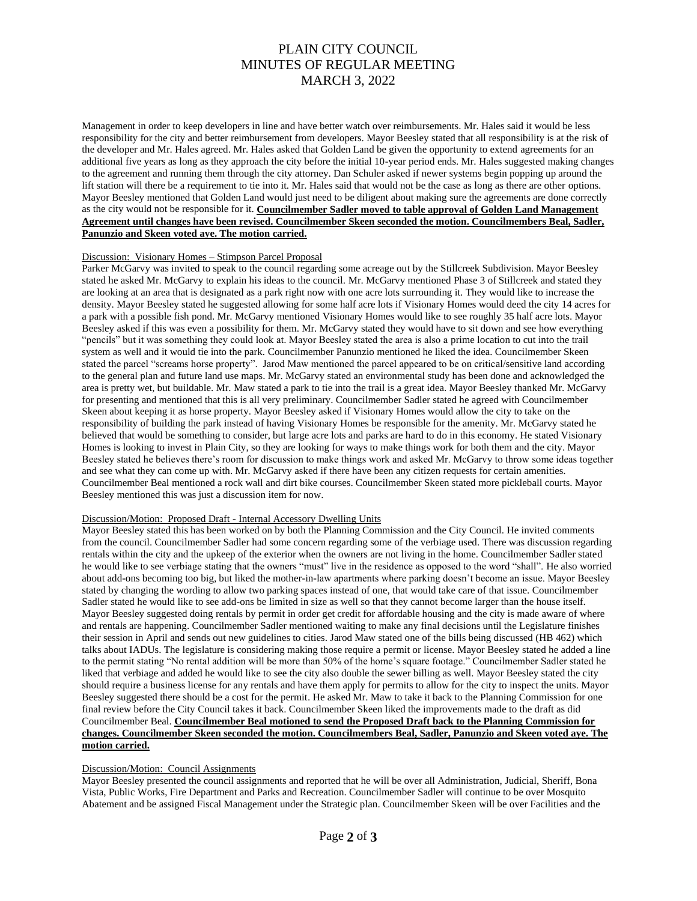Management in order to keep developers in line and have better watch over reimbursements. Mr. Hales said it would be less responsibility for the city and better reimbursement from developers. Mayor Beesley stated that all responsibility is at the risk of the developer and Mr. Hales agreed. Mr. Hales asked that Golden Land be given the opportunity to extend agreements for an additional five years as long as they approach the city before the initial 10-year period ends. Mr. Hales suggested making changes to the agreement and running them through the city attorney. Dan Schuler asked if newer systems begin popping up around the lift station will there be a requirement to tie into it. Mr. Hales said that would not be the case as long as there are other options. Mayor Beesley mentioned that Golden Land would just need to be diligent about making sure the agreements are done correctly as the city would not be responsible for it. **Councilmember Sadler moved to table approval of Golden Land Management Agreement until changes have been revised. Councilmember Skeen seconded the motion. Councilmembers Beal, Sadler, Panunzio and Skeen voted aye. The motion carried.**

### Discussion: Visionary Homes – Stimpson Parcel Proposal

Parker McGarvy was invited to speak to the council regarding some acreage out by the Stillcreek Subdivision. Mayor Beesley stated he asked Mr. McGarvy to explain his ideas to the council. Mr. McGarvy mentioned Phase 3 of Stillcreek and stated they are looking at an area that is designated as a park right now with one acre lots surrounding it. They would like to increase the density. Mayor Beesley stated he suggested allowing for some half acre lots if Visionary Homes would deed the city 14 acres for a park with a possible fish pond. Mr. McGarvy mentioned Visionary Homes would like to see roughly 35 half acre lots. Mayor Beesley asked if this was even a possibility for them. Mr. McGarvy stated they would have to sit down and see how everything "pencils" but it was something they could look at. Mayor Beesley stated the area is also a prime location to cut into the trail system as well and it would tie into the park. Councilmember Panunzio mentioned he liked the idea. Councilmember Skeen stated the parcel "screams horse property". Jarod Maw mentioned the parcel appeared to be on critical/sensitive land according to the general plan and future land use maps. Mr. McGarvy stated an environmental study has been done and acknowledged the area is pretty wet, but buildable. Mr. Maw stated a park to tie into the trail is a great idea. Mayor Beesley thanked Mr. McGarvy for presenting and mentioned that this is all very preliminary. Councilmember Sadler stated he agreed with Councilmember Skeen about keeping it as horse property. Mayor Beesley asked if Visionary Homes would allow the city to take on the responsibility of building the park instead of having Visionary Homes be responsible for the amenity. Mr. McGarvy stated he believed that would be something to consider, but large acre lots and parks are hard to do in this economy. He stated Visionary Homes is looking to invest in Plain City, so they are looking for ways to make things work for both them and the city. Mayor Beesley stated he believes there's room for discussion to make things work and asked Mr. McGarvy to throw some ideas together and see what they can come up with. Mr. McGarvy asked if there have been any citizen requests for certain amenities. Councilmember Beal mentioned a rock wall and dirt bike courses. Councilmember Skeen stated more pickleball courts. Mayor Beesley mentioned this was just a discussion item for now.

#### Discussion/Motion: Proposed Draft - Internal Accessory Dwelling Units

Mayor Beesley stated this has been worked on by both the Planning Commission and the City Council. He invited comments from the council. Councilmember Sadler had some concern regarding some of the verbiage used. There was discussion regarding rentals within the city and the upkeep of the exterior when the owners are not living in the home. Councilmember Sadler stated he would like to see verbiage stating that the owners "must" live in the residence as opposed to the word "shall". He also worried about add-ons becoming too big, but liked the mother-in-law apartments where parking doesn't become an issue. Mayor Beesley stated by changing the wording to allow two parking spaces instead of one, that would take care of that issue. Councilmember Sadler stated he would like to see add-ons be limited in size as well so that they cannot become larger than the house itself. Mayor Beesley suggested doing rentals by permit in order get credit for affordable housing and the city is made aware of where and rentals are happening. Councilmember Sadler mentioned waiting to make any final decisions until the Legislature finishes their session in April and sends out new guidelines to cities. Jarod Maw stated one of the bills being discussed (HB 462) which talks about IADUs. The legislature is considering making those require a permit or license. Mayor Beesley stated he added a line to the permit stating "No rental addition will be more than 50% of the home's square footage." Councilmember Sadler stated he liked that verbiage and added he would like to see the city also double the sewer billing as well. Mayor Beesley stated the city should require a business license for any rentals and have them apply for permits to allow for the city to inspect the units. Mayor Beesley suggested there should be a cost for the permit. He asked Mr. Maw to take it back to the Planning Commission for one final review before the City Council takes it back. Councilmember Skeen liked the improvements made to the draft as did Councilmember Beal. **Councilmember Beal motioned to send the Proposed Draft back to the Planning Commission for changes. Councilmember Skeen seconded the motion. Councilmembers Beal, Sadler, Panunzio and Skeen voted aye. The motion carried.**

### Discussion/Motion: Council Assignments

Mayor Beesley presented the council assignments and reported that he will be over all Administration, Judicial, Sheriff, Bona Vista, Public Works, Fire Department and Parks and Recreation. Councilmember Sadler will continue to be over Mosquito Abatement and be assigned Fiscal Management under the Strategic plan. Councilmember Skeen will be over Facilities and the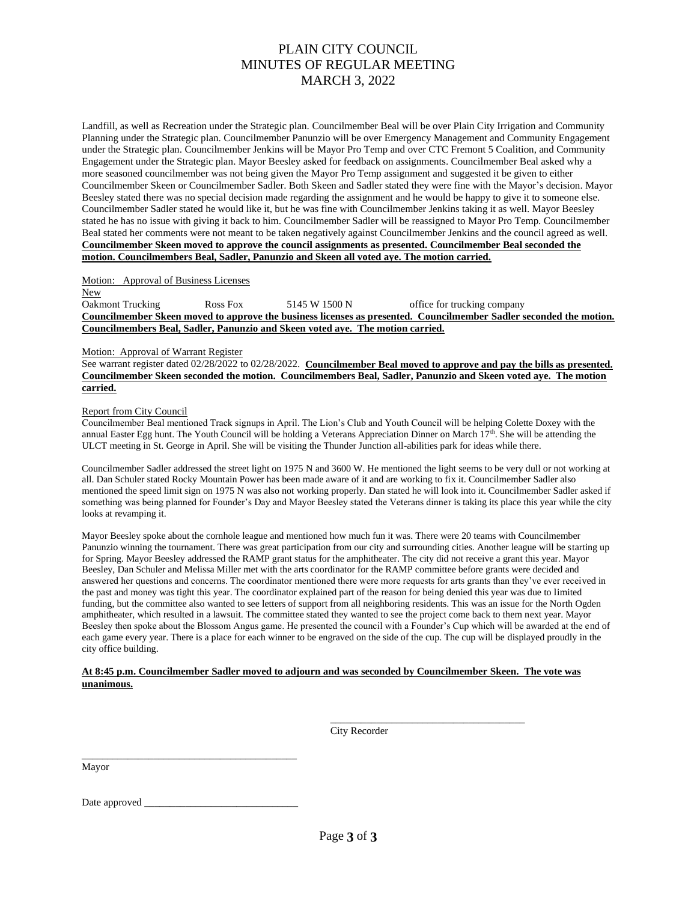Landfill, as well as Recreation under the Strategic plan. Councilmember Beal will be over Plain City Irrigation and Community Planning under the Strategic plan. Councilmember Panunzio will be over Emergency Management and Community Engagement under the Strategic plan. Councilmember Jenkins will be Mayor Pro Temp and over CTC Fremont 5 Coalition, and Community Engagement under the Strategic plan. Mayor Beesley asked for feedback on assignments. Councilmember Beal asked why a more seasoned councilmember was not being given the Mayor Pro Temp assignment and suggested it be given to either Councilmember Skeen or Councilmember Sadler. Both Skeen and Sadler stated they were fine with the Mayor's decision. Mayor Beesley stated there was no special decision made regarding the assignment and he would be happy to give it to someone else. Councilmember Sadler stated he would like it, but he was fine with Councilmember Jenkins taking it as well. Mayor Beesley stated he has no issue with giving it back to him. Councilmember Sadler will be reassigned to Mayor Pro Temp. Councilmember Beal stated her comments were not meant to be taken negatively against Councilmember Jenkins and the council agreed as well. **Councilmember Skeen moved to approve the council assignments as presented. Councilmember Beal seconded the motion. Councilmembers Beal, Sadler, Panunzio and Skeen all voted aye. The motion carried.**

Motion: Approval of Business Licenses

New Oakmont Trucking Ross Fox 5145 W 1500 N office for trucking company **Councilmember Skeen moved to approve the business licenses as presented. Councilmember Sadler seconded the motion. Councilmembers Beal, Sadler, Panunzio and Skeen voted aye. The motion carried.**

Motion: Approval of Warrant Register

See warrant register dated 02/28/2022 to 02/28/2022. **Councilmember Beal moved to approve and pay the bills as presented. Councilmember Skeen seconded the motion. Councilmembers Beal, Sadler, Panunzio and Skeen voted aye. The motion carried.**

### Report from City Council

Councilmember Beal mentioned Track signups in April. The Lion's Club and Youth Council will be helping Colette Doxey with the annual Easter Egg hunt. The Youth Council will be holding a Veterans Appreciation Dinner on March  $17<sup>th</sup>$ . She will be attending the ULCT meeting in St. George in April. She will be visiting the Thunder Junction all-abilities park for ideas while there.

Councilmember Sadler addressed the street light on 1975 N and 3600 W. He mentioned the light seems to be very dull or not working at all. Dan Schuler stated Rocky Mountain Power has been made aware of it and are working to fix it. Councilmember Sadler also mentioned the speed limit sign on 1975 N was also not working properly. Dan stated he will look into it. Councilmember Sadler asked if something was being planned for Founder's Day and Mayor Beesley stated the Veterans dinner is taking its place this year while the city looks at revamping it.

Mayor Beesley spoke about the cornhole league and mentioned how much fun it was. There were 20 teams with Councilmember Panunzio winning the tournament. There was great participation from our city and surrounding cities. Another league will be starting up for Spring. Mayor Beesley addressed the RAMP grant status for the amphitheater. The city did not receive a grant this year. Mayor Beesley, Dan Schuler and Melissa Miller met with the arts coordinator for the RAMP committee before grants were decided and answered her questions and concerns. The coordinator mentioned there were more requests for arts grants than they've ever received in the past and money was tight this year. The coordinator explained part of the reason for being denied this year was due to limited funding, but the committee also wanted to see letters of support from all neighboring residents. This was an issue for the North Ogden amphitheater, which resulted in a lawsuit. The committee stated they wanted to see the project come back to them next year. Mayor Beesley then spoke about the Blossom Angus game. He presented the council with a Founder's Cup which will be awarded at the end of each game every year. There is a place for each winner to be engraved on the side of the cup. The cup will be displayed proudly in the city office building.

### **At 8:45 p.m. Councilmember Sadler moved to adjourn and was seconded by Councilmember Skeen. The vote was unanimous.**

City Recorder

\_\_\_\_\_\_\_\_\_\_\_\_\_\_\_\_\_\_\_\_\_\_\_\_\_\_\_\_\_\_\_\_\_\_\_\_\_\_

Mayor

Date approved

\_\_\_\_\_\_\_\_\_\_\_\_\_\_\_\_\_\_\_\_\_\_\_\_\_\_\_\_\_\_\_\_\_\_\_\_\_\_\_\_\_\_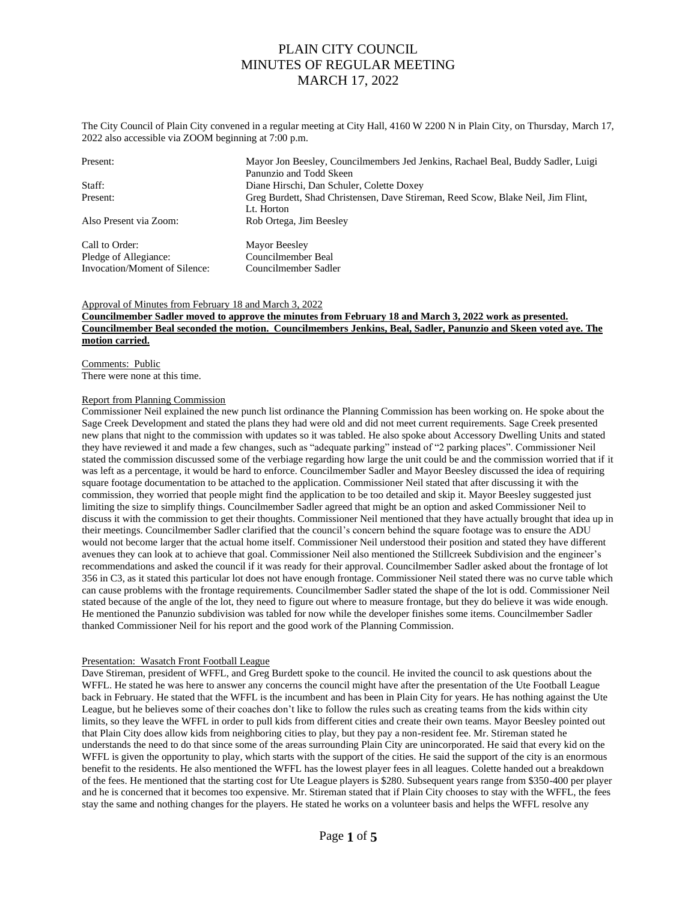The City Council of Plain City convened in a regular meeting at City Hall, 4160 W 2200 N in Plain City, on Thursday, March 17, 2022 also accessible via ZOOM beginning at 7:00 p.m.

| Present:                      | Mayor Jon Beesley, Councilmembers Jed Jenkins, Rachael Beal, Buddy Sadler, Luigi<br>Panunzio and Todd Skeen |  |  |
|-------------------------------|-------------------------------------------------------------------------------------------------------------|--|--|
| Staff:                        | Diane Hirschi, Dan Schuler, Colette Doxey                                                                   |  |  |
| Present:                      | Greg Burdett, Shad Christensen, Dave Stireman, Reed Scow, Blake Neil, Jim Flint,                            |  |  |
|                               | Lt. Horton                                                                                                  |  |  |
| Also Present via Zoom:        | Rob Ortega, Jim Beesley                                                                                     |  |  |
| Call to Order:                | Mayor Beesley                                                                                               |  |  |
| Pledge of Allegiance:         | Councilmember Beal                                                                                          |  |  |
| Invocation/Moment of Silence: | Councilmember Sadler                                                                                        |  |  |

### Approval of Minutes from February 18 and March 3, 2022 **Councilmember Sadler moved to approve the minutes from February 18 and March 3, 2022 work as presented. Councilmember Beal seconded the motion. Councilmembers Jenkins, Beal, Sadler, Panunzio and Skeen voted aye. The motion carried.**

Comments: Public There were none at this time.

### Report from Planning Commission

Commissioner Neil explained the new punch list ordinance the Planning Commission has been working on. He spoke about the Sage Creek Development and stated the plans they had were old and did not meet current requirements. Sage Creek presented new plans that night to the commission with updates so it was tabled. He also spoke about Accessory Dwelling Units and stated they have reviewed it and made a few changes, such as "adequate parking" instead of "2 parking places". Commissioner Neil stated the commission discussed some of the verbiage regarding how large the unit could be and the commission worried that if it was left as a percentage, it would be hard to enforce. Councilmember Sadler and Mayor Beesley discussed the idea of requiring square footage documentation to be attached to the application. Commissioner Neil stated that after discussing it with the commission, they worried that people might find the application to be too detailed and skip it. Mayor Beesley suggested just limiting the size to simplify things. Councilmember Sadler agreed that might be an option and asked Commissioner Neil to discuss it with the commission to get their thoughts. Commissioner Neil mentioned that they have actually brought that idea up in their meetings. Councilmember Sadler clarified that the council's concern behind the square footage was to ensure the ADU would not become larger that the actual home itself. Commissioner Neil understood their position and stated they have different avenues they can look at to achieve that goal. Commissioner Neil also mentioned the Stillcreek Subdivision and the engineer's recommendations and asked the council if it was ready for their approval. Councilmember Sadler asked about the frontage of lot 356 in C3, as it stated this particular lot does not have enough frontage. Commissioner Neil stated there was no curve table which can cause problems with the frontage requirements. Councilmember Sadler stated the shape of the lot is odd. Commissioner Neil stated because of the angle of the lot, they need to figure out where to measure frontage, but they do believe it was wide enough. He mentioned the Panunzio subdivision was tabled for now while the developer finishes some items. Councilmember Sadler thanked Commissioner Neil for his report and the good work of the Planning Commission.

#### Presentation: Wasatch Front Football League

Dave Stireman, president of WFFL, and Greg Burdett spoke to the council. He invited the council to ask questions about the WFFL. He stated he was here to answer any concerns the council might have after the presentation of the Ute Football League back in February. He stated that the WFFL is the incumbent and has been in Plain City for years. He has nothing against the Ute League, but he believes some of their coaches don't like to follow the rules such as creating teams from the kids within city limits, so they leave the WFFL in order to pull kids from different cities and create their own teams. Mayor Beesley pointed out that Plain City does allow kids from neighboring cities to play, but they pay a non-resident fee. Mr. Stireman stated he understands the need to do that since some of the areas surrounding Plain City are unincorporated. He said that every kid on the WFFL is given the opportunity to play, which starts with the support of the cities. He said the support of the city is an enormous benefit to the residents. He also mentioned the WFFL has the lowest player fees in all leagues. Colette handed out a breakdown of the fees. He mentioned that the starting cost for Ute League players is \$280. Subsequent years range from \$350-400 per player and he is concerned that it becomes too expensive. Mr. Stireman stated that if Plain City chooses to stay with the WFFL, the fees stay the same and nothing changes for the players. He stated he works on a volunteer basis and helps the WFFL resolve any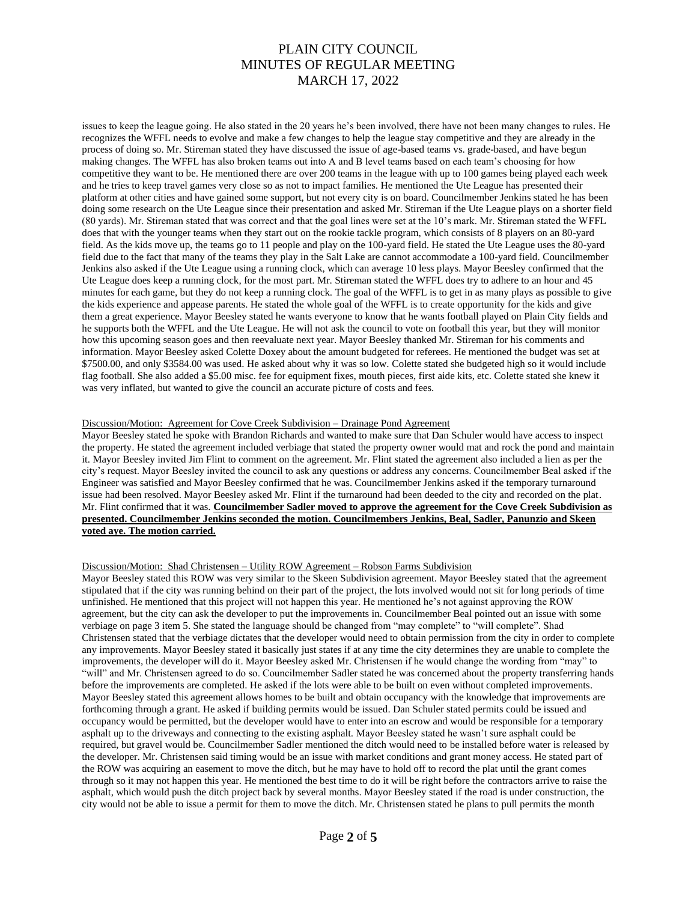issues to keep the league going. He also stated in the 20 years he's been involved, there have not been many changes to rules. He recognizes the WFFL needs to evolve and make a few changes to help the league stay competitive and they are already in the process of doing so. Mr. Stireman stated they have discussed the issue of age-based teams vs. grade-based, and have begun making changes. The WFFL has also broken teams out into A and B level teams based on each team's choosing for how competitive they want to be. He mentioned there are over 200 teams in the league with up to 100 games being played each week and he tries to keep travel games very close so as not to impact families. He mentioned the Ute League has presented their platform at other cities and have gained some support, but not every city is on board. Councilmember Jenkins stated he has been doing some research on the Ute League since their presentation and asked Mr. Stireman if the Ute League plays on a shorter field (80 yards). Mr. Stireman stated that was correct and that the goal lines were set at the 10's mark. Mr. Stireman stated the WFFL does that with the younger teams when they start out on the rookie tackle program, which consists of 8 players on an 80-yard field. As the kids move up, the teams go to 11 people and play on the 100-yard field. He stated the Ute League uses the 80-yard field due to the fact that many of the teams they play in the Salt Lake are cannot accommodate a 100-yard field. Councilmember Jenkins also asked if the Ute League using a running clock, which can average 10 less plays. Mayor Beesley confirmed that the Ute League does keep a running clock, for the most part. Mr. Stireman stated the WFFL does try to adhere to an hour and 45 minutes for each game, but they do not keep a running clock. The goal of the WFFL is to get in as many plays as possible to give the kids experience and appease parents. He stated the whole goal of the WFFL is to create opportunity for the kids and give them a great experience. Mayor Beesley stated he wants everyone to know that he wants football played on Plain City fields and he supports both the WFFL and the Ute League. He will not ask the council to vote on football this year, but they will monitor how this upcoming season goes and then reevaluate next year. Mayor Beesley thanked Mr. Stireman for his comments and information. Mayor Beesley asked Colette Doxey about the amount budgeted for referees. He mentioned the budget was set at \$7500.00, and only \$3584.00 was used. He asked about why it was so low. Colette stated she budgeted high so it would include flag football. She also added a \$5.00 misc. fee for equipment fixes, mouth pieces, first aide kits, etc. Colette stated she knew it was very inflated, but wanted to give the council an accurate picture of costs and fees.

#### Discussion/Motion: Agreement for Cove Creek Subdivision – Drainage Pond Agreement

Mayor Beesley stated he spoke with Brandon Richards and wanted to make sure that Dan Schuler would have access to inspect the property. He stated the agreement included verbiage that stated the property owner would mat and rock the pond and maintain it. Mayor Beesley invited Jim Flint to comment on the agreement. Mr. Flint stated the agreement also included a lien as per the city's request. Mayor Beesley invited the council to ask any questions or address any concerns. Councilmember Beal asked if the Engineer was satisfied and Mayor Beesley confirmed that he was. Councilmember Jenkins asked if the temporary turnaround issue had been resolved. Mayor Beesley asked Mr. Flint if the turnaround had been deeded to the city and recorded on the plat. Mr. Flint confirmed that it was. **Councilmember Sadler moved to approve the agreement for the Cove Creek Subdivision as presented. Councilmember Jenkins seconded the motion. Councilmembers Jenkins, Beal, Sadler, Panunzio and Skeen voted aye. The motion carried.** 

#### Discussion/Motion: Shad Christensen – Utility ROW Agreement – Robson Farms Subdivision

Mayor Beesley stated this ROW was very similar to the Skeen Subdivision agreement. Mayor Beesley stated that the agreement stipulated that if the city was running behind on their part of the project, the lots involved would not sit for long periods of time unfinished. He mentioned that this project will not happen this year. He mentioned he's not against approving the ROW agreement, but the city can ask the developer to put the improvements in. Councilmember Beal pointed out an issue with some verbiage on page 3 item 5. She stated the language should be changed from "may complete" to "will complete". Shad Christensen stated that the verbiage dictates that the developer would need to obtain permission from the city in order to complete any improvements. Mayor Beesley stated it basically just states if at any time the city determines they are unable to complete the improvements, the developer will do it. Mayor Beesley asked Mr. Christensen if he would change the wording from "may" to "will" and Mr. Christensen agreed to do so. Councilmember Sadler stated he was concerned about the property transferring hands before the improvements are completed. He asked if the lots were able to be built on even without completed improvements. Mayor Beesley stated this agreement allows homes to be built and obtain occupancy with the knowledge that improvements are forthcoming through a grant. He asked if building permits would be issued. Dan Schuler stated permits could be issued and occupancy would be permitted, but the developer would have to enter into an escrow and would be responsible for a temporary asphalt up to the driveways and connecting to the existing asphalt. Mayor Beesley stated he wasn't sure asphalt could be required, but gravel would be. Councilmember Sadler mentioned the ditch would need to be installed before water is released by the developer. Mr. Christensen said timing would be an issue with market conditions and grant money access. He stated part of the ROW was acquiring an easement to move the ditch, but he may have to hold off to record the plat until the grant comes through so it may not happen this year. He mentioned the best time to do it will be right before the contractors arrive to raise the asphalt, which would push the ditch project back by several months. Mayor Beesley stated if the road is under construction, the city would not be able to issue a permit for them to move the ditch. Mr. Christensen stated he plans to pull permits the month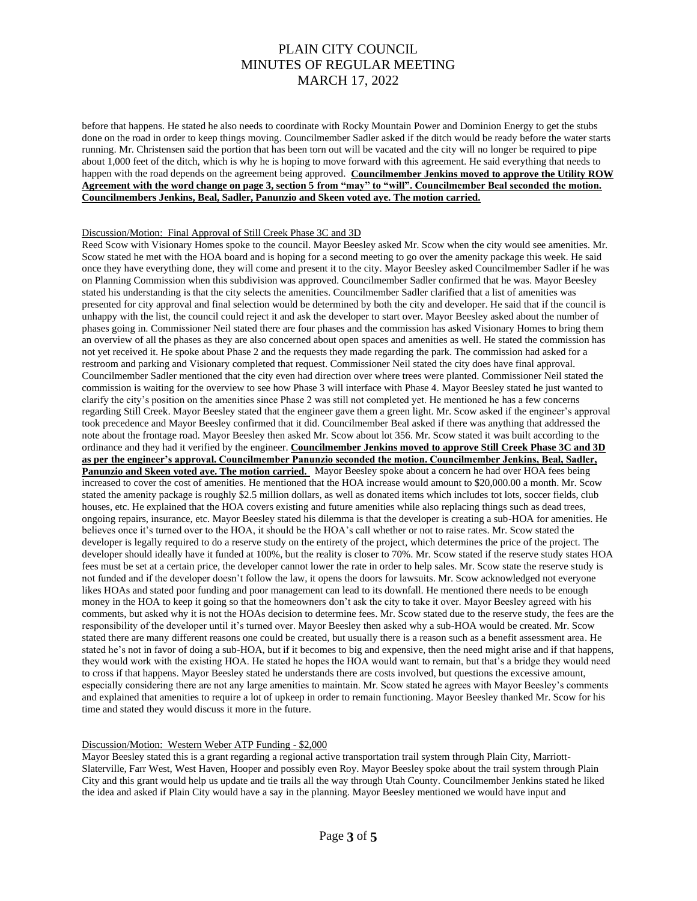before that happens. He stated he also needs to coordinate with Rocky Mountain Power and Dominion Energy to get the stubs done on the road in order to keep things moving. Councilmember Sadler asked if the ditch would be ready before the water starts running. Mr. Christensen said the portion that has been torn out will be vacated and the city will no longer be required to pipe about 1,000 feet of the ditch, which is why he is hoping to move forward with this agreement. He said everything that needs to happen with the road depends on the agreement being approved. **Councilmember Jenkins moved to approve the Utility ROW Agreement with the word change on page 3, section 5 from "may" to "will". Councilmember Beal seconded the motion. Councilmembers Jenkins, Beal, Sadler, Panunzio and Skeen voted aye. The motion carried.**

#### Discussion/Motion: Final Approval of Still Creek Phase 3C and 3D

Reed Scow with Visionary Homes spoke to the council. Mayor Beesley asked Mr. Scow when the city would see amenities. Mr. Scow stated he met with the HOA board and is hoping for a second meeting to go over the amenity package this week. He said once they have everything done, they will come and present it to the city. Mayor Beesley asked Councilmember Sadler if he was on Planning Commission when this subdivision was approved. Councilmember Sadler confirmed that he was. Mayor Beesley stated his understanding is that the city selects the amenities. Councilmember Sadler clarified that a list of amenities was presented for city approval and final selection would be determined by both the city and developer. He said that if the council is unhappy with the list, the council could reject it and ask the developer to start over. Mayor Beesley asked about the number of phases going in. Commissioner Neil stated there are four phases and the commission has asked Visionary Homes to bring them an overview of all the phases as they are also concerned about open spaces and amenities as well. He stated the commission has not yet received it. He spoke about Phase 2 and the requests they made regarding the park. The commission had asked for a restroom and parking and Visionary completed that request. Commissioner Neil stated the city does have final approval. Councilmember Sadler mentioned that the city even had direction over where trees were planted. Commissioner Neil stated the commission is waiting for the overview to see how Phase 3 will interface with Phase 4. Mayor Beesley stated he just wanted to clarify the city's position on the amenities since Phase 2 was still not completed yet. He mentioned he has a few concerns regarding Still Creek. Mayor Beesley stated that the engineer gave them a green light. Mr. Scow asked if the engineer's approval took precedence and Mayor Beesley confirmed that it did. Councilmember Beal asked if there was anything that addressed the note about the frontage road. Mayor Beesley then asked Mr. Scow about lot 356. Mr. Scow stated it was built according to the ordinance and they had it verified by the engineer. **Councilmember Jenkins moved to approve Still Creek Phase 3C and 3D as per the engineer's approval. Councilmember Panunzio seconded the motion. Councilmember Jenkins, Beal, Sadler, Panunzio and Skeen voted aye. The motion carried.** Mayor Beesley spoke about a concern he had over HOA fees being increased to cover the cost of amenities. He mentioned that the HOA increase would amount to \$20,000.00 a month. Mr. Scow stated the amenity package is roughly \$2.5 million dollars, as well as donated items which includes tot lots, soccer fields, club houses, etc. He explained that the HOA covers existing and future amenities while also replacing things such as dead trees, ongoing repairs, insurance, etc. Mayor Beesley stated his dilemma is that the developer is creating a sub-HOA for amenities. He believes once it's turned over to the HOA, it should be the HOA's call whether or not to raise rates. Mr. Scow stated the developer is legally required to do a reserve study on the entirety of the project, which determines the price of the project. The developer should ideally have it funded at 100%, but the reality is closer to 70%. Mr. Scow stated if the reserve study states HOA fees must be set at a certain price, the developer cannot lower the rate in order to help sales. Mr. Scow state the reserve study is not funded and if the developer doesn't follow the law, it opens the doors for lawsuits. Mr. Scow acknowledged not everyone likes HOAs and stated poor funding and poor management can lead to its downfall. He mentioned there needs to be enough money in the HOA to keep it going so that the homeowners don't ask the city to take it over. Mayor Beesley agreed with his comments, but asked why it is not the HOAs decision to determine fees. Mr. Scow stated due to the reserve study, the fees are the responsibility of the developer until it's turned over. Mayor Beesley then asked why a sub-HOA would be created. Mr. Scow stated there are many different reasons one could be created, but usually there is a reason such as a benefit assessment area. He stated he's not in favor of doing a sub-HOA, but if it becomes to big and expensive, then the need might arise and if that happens, they would work with the existing HOA. He stated he hopes the HOA would want to remain, but that's a bridge they would need to cross if that happens. Mayor Beesley stated he understands there are costs involved, but questions the excessive amount, especially considering there are not any large amenities to maintain. Mr. Scow stated he agrees with Mayor Beesley's comments and explained that amenities to require a lot of upkeep in order to remain functioning. Mayor Beesley thanked Mr. Scow for his time and stated they would discuss it more in the future.

#### Discussion/Motion: Western Weber ATP Funding - \$2,000

Mayor Beesley stated this is a grant regarding a regional active transportation trail system through Plain City, Marriott-Slaterville, Farr West, West Haven, Hooper and possibly even Roy. Mayor Beesley spoke about the trail system through Plain City and this grant would help us update and tie trails all the way through Utah County. Councilmember Jenkins stated he liked the idea and asked if Plain City would have a say in the planning. Mayor Beesley mentioned we would have input and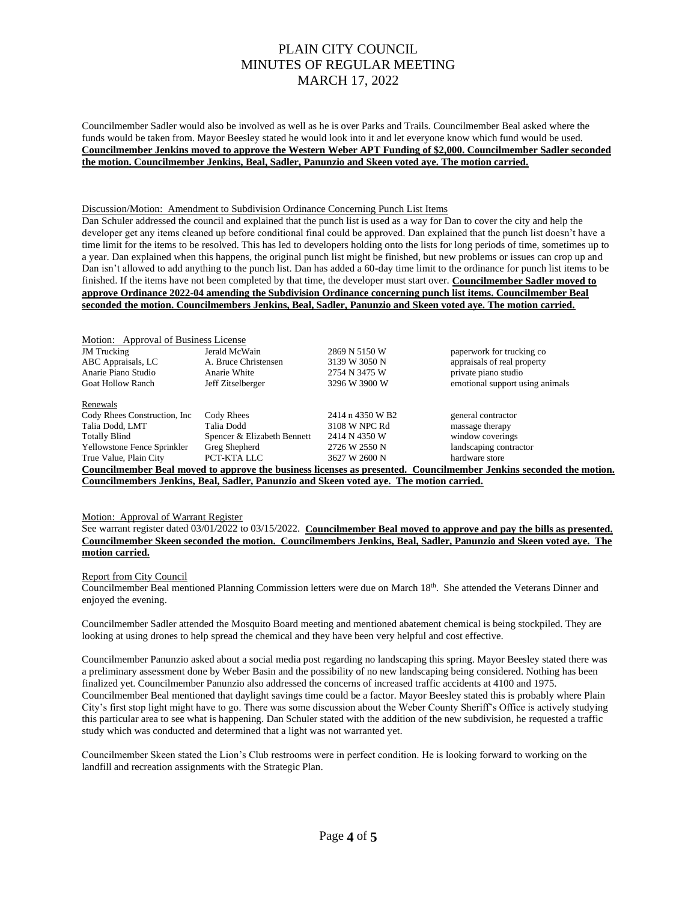Councilmember Sadler would also be involved as well as he is over Parks and Trails. Councilmember Beal asked where the funds would be taken from. Mayor Beesley stated he would look into it and let everyone know which fund would be used. **Councilmember Jenkins moved to approve the Western Weber APT Funding of \$2,000. Councilmember Sadler seconded the motion. Councilmember Jenkins, Beal, Sadler, Panunzio and Skeen voted aye. The motion carried.** 

#### Discussion/Motion: Amendment to Subdivision Ordinance Concerning Punch List Items

Dan Schuler addressed the council and explained that the punch list is used as a way for Dan to cover the city and help the developer get any items cleaned up before conditional final could be approved. Dan explained that the punch list doesn't have a time limit for the items to be resolved. This has led to developers holding onto the lists for long periods of time, sometimes up to a year. Dan explained when this happens, the original punch list might be finished, but new problems or issues can crop up and Dan isn't allowed to add anything to the punch list. Dan has added a 60-day time limit to the ordinance for punch list items to be finished. If the items have not been completed by that time, the developer must start over. **Councilmember Sadler moved to approve Ordinance 2022-04 amending the Subdivision Ordinance concerning punch list items. Councilmember Beal seconded the motion. Councilmembers Jenkins, Beal, Sadler, Panunzio and Skeen voted aye. The motion carried.** 

| Motion: Approval of Business License                                                                               |                             |                  |                                 |  |  |
|--------------------------------------------------------------------------------------------------------------------|-----------------------------|------------------|---------------------------------|--|--|
| <b>JM</b> Trucking                                                                                                 | Jerald McWain               | 2869 N 5150 W    | paperwork for trucking co       |  |  |
| ABC Appraisals, LC                                                                                                 | A. Bruce Christensen        | 3139 W 3050 N    | appraisals of real property     |  |  |
| Anarie Piano Studio                                                                                                | Anarie White                | 2754 N 3475 W    | private piano studio            |  |  |
| <b>Goat Hollow Ranch</b>                                                                                           | Jeff Zitselberger           | 3296 W 3900 W    | emotional support using animals |  |  |
| Renewals                                                                                                           |                             |                  |                                 |  |  |
| Cody Rhees Construction, Inc.                                                                                      | Cody Rhees                  | 2414 n 4350 W B2 | general contractor              |  |  |
| Talia Dodd, LMT                                                                                                    | Talia Dodd                  | 3108 W NPC Rd    | massage therapy                 |  |  |
| <b>Totally Blind</b>                                                                                               | Spencer & Elizabeth Bennett | 2414 N 4350 W    | window coverings                |  |  |
| Yellowstone Fence Sprinkler                                                                                        | Greg Shepherd               | 2726 W 2550 N    | landscaping contractor          |  |  |
| True Value, Plain City                                                                                             | PCT-KTA LLC                 | 3627 W 2600 N    | hardware store                  |  |  |
| Councilmember Beal moved to approve the business licenses as presented. Councilmember Jenkins seconded the motion. |                             |                  |                                 |  |  |
| Councilmembers Jenkins, Beal, Sadler, Panunzio and Skeen voted ave. The motion carried.                            |                             |                  |                                 |  |  |

#### Motion: Approval of Warrant Register

See warrant register dated 03/01/2022 to 03/15/2022. **Councilmember Beal moved to approve and pay the bills as presented. Councilmember Skeen seconded the motion. Councilmembers Jenkins, Beal, Sadler, Panunzio and Skeen voted aye. The motion carried.**

#### Report from City Council

Councilmember Beal mentioned Planning Commission letters were due on March 18th. She attended the Veterans Dinner and enjoyed the evening.

Councilmember Sadler attended the Mosquito Board meeting and mentioned abatement chemical is being stockpiled. They are looking at using drones to help spread the chemical and they have been very helpful and cost effective.

Councilmember Panunzio asked about a social media post regarding no landscaping this spring. Mayor Beesley stated there was a preliminary assessment done by Weber Basin and the possibility of no new landscaping being considered. Nothing has been finalized yet. Councilmember Panunzio also addressed the concerns of increased traffic accidents at 4100 and 1975. Councilmember Beal mentioned that daylight savings time could be a factor. Mayor Beesley stated this is probably where Plain City's first stop light might have to go. There was some discussion about the Weber County Sheriff's Office is actively studying this particular area to see what is happening. Dan Schuler stated with the addition of the new subdivision, he requested a traffic study which was conducted and determined that a light was not warranted yet.

Councilmember Skeen stated the Lion's Club restrooms were in perfect condition. He is looking forward to working on the landfill and recreation assignments with the Strategic Plan.